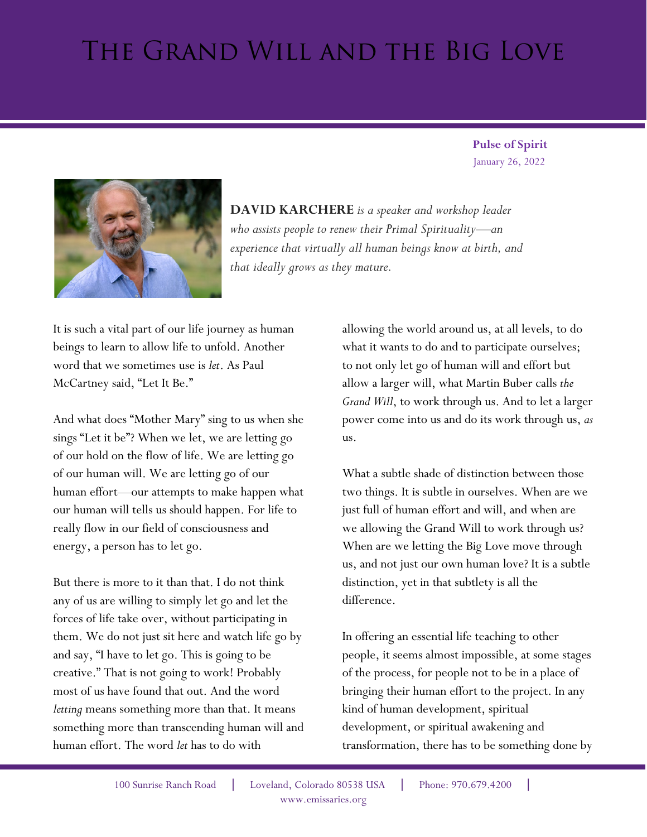## The Grand Will and the Big Love

 January 26, 2022  **Pulse of Spirit** 



**DAVID KARCHERE** *is a speaker and workshop leader who assists people to renew their Primal Spirituality—an experience that virtually all human beings know at birth, and that ideally grows as they mature.*

It is such a vital part of our life journey as human beings to learn to allow life to unfold. Another word that we sometimes use is *let*. As Paul McCartney said, "Let It Be."

And what does "Mother Mary" sing to us when she sings "Let it be"? When we let, we are letting go of our hold on the flow of life. We are letting go of our human will. We are letting go of our human effort—our attempts to make happen what our human will tells us should happen. For life to really flow in our field of consciousness and energy, a person has to let go.

But there is more to it than that. I do not think any of us are willing to simply let go and let the forces of life take over, without participating in them. We do not just sit here and watch life go by and say, "I have to let go. This is going to be creative." That is not going to work! Probably most of us have found that out. And the word *letting* means something more than that. It means something more than transcending human will and human effort. The word *let* has to do with

allowing the world around us, at all levels, to do what it wants to do and to participate ourselves; to not only let go of human will and effort but allow a larger will, what Martin Buber calls *the Grand Will*, to work through us. And to let a larger power come into us and do its work through us, *as* us.

What a subtle shade of distinction between those two things. It is subtle in ourselves. When are we just full of human effort and will, and when are we allowing the Grand Will to work through us? When are we letting the Big Love move through us, and not just our own human love? It is a subtle distinction, yet in that subtlety is all the difference.

In offering an essential life teaching to other people, it seems almost impossible, at some stages of the process, for people not to be in a place of bringing their human effort to the project. In any kind of human development, spiritual development, or spiritual awakening and transformation, there has to be something done by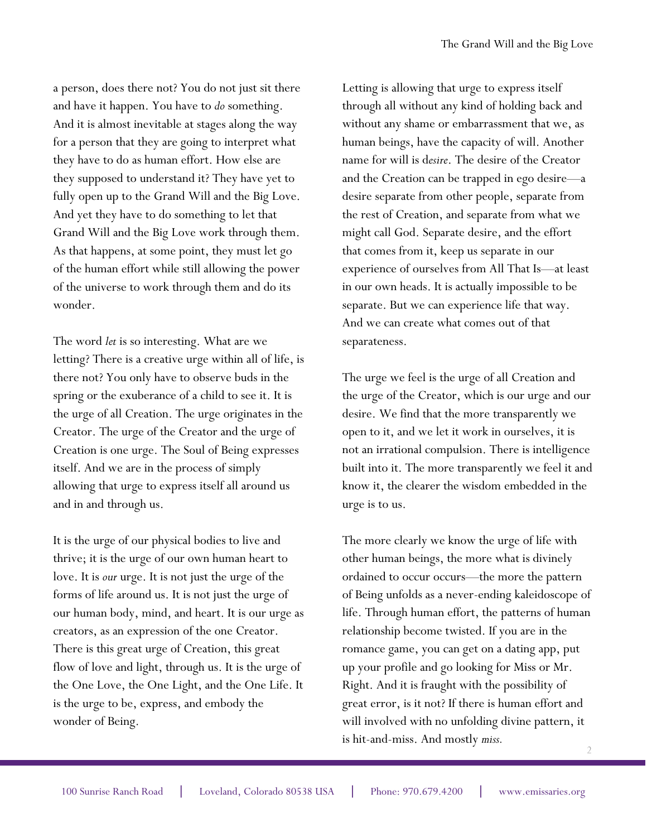a person, does there not? You do not just sit there and have it happen. You have to *do* something. And it is almost inevitable at stages along the way for a person that they are going to interpret what they have to do as human effort. How else are they supposed to understand it? They have yet to fully open up to the Grand Will and the Big Love. And yet they have to do something to let that Grand Will and the Big Love work through them. As that happens, at some point, they must let go of the human effort while still allowing the power of the universe to work through them and do its wonder.

The word *let* is so interesting. What are we letting? There is a creative urge within all of life, is there not? You only have to observe buds in the spring or the exuberance of a child to see it. It is the urge of all Creation. The urge originates in the Creator. The urge of the Creator and the urge of Creation is one urge. The Soul of Being expresses itself. And we are in the process of simply allowing that urge to express itself all around us and in and through us.

It is the urge of our physical bodies to live and thrive; it is the urge of our own human heart to love. It is *our* urge. It is not just the urge of the forms of life around us. It is not just the urge of our human body, mind, and heart. It is our urge as creators, as an expression of the one Creator. There is this great urge of Creation, this great flow of love and light, through us. It is the urge of the One Love, the One Light, and the One Life. It is the urge to be, express, and embody the wonder of Being.

Letting is allowing that urge to express itself through all without any kind of holding back and without any shame or embarrassment that we, as human beings, have the capacity of will. Another name for will is d*esire*. The desire of the Creator and the Creation can be trapped in ego desire—a desire separate from other people, separate from the rest of Creation, and separate from what we might call God. Separate desire, and the effort that comes from it, keep us separate in our experience of ourselves from All That Is—at least in our own heads. It is actually impossible to be separate. But we can experience life that way. And we can create what comes out of that separateness.

The urge we feel is the urge of all Creation and the urge of the Creator, which is our urge and our desire. We find that the more transparently we open to it, and we let it work in ourselves, it is not an irrational compulsion. There is intelligence built into it. The more transparently we feel it and know it, the clearer the wisdom embedded in the urge is to us.

2 The more clearly we know the urge of life with other human beings, the more what is divinely ordained to occur occurs—the more the pattern of Being unfolds as a never-ending kaleidoscope of life. Through human effort, the patterns of human relationship become twisted. If you are in the romance game, you can get on a dating app, put up your profile and go looking for Miss or Mr. Right. And it is fraught with the possibility of great error, is it not? If there is human effort and will involved with no unfolding divine pattern, it is hit-and-miss. And mostly *miss.*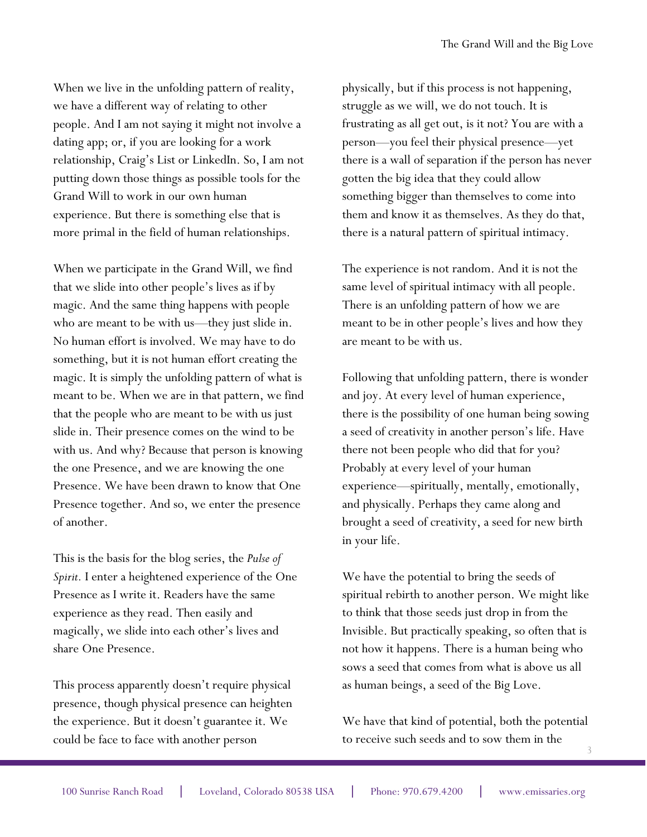When we live in the unfolding pattern of reality, we have a different way of relating to other people. And I am not saying it might not involve a dating app; or, if you are looking for a work relationship, Craig's List or LinkedIn. So, I am not putting down those things as possible tools for the Grand Will to work in our own human experience. But there is something else that is more primal in the field of human relationships.

When we participate in the Grand Will, we find that we slide into other people's lives as if by magic. And the same thing happens with people who are meant to be with us—they just slide in. No human effort is involved. We may have to do something, but it is not human effort creating the magic. It is simply the unfolding pattern of what is meant to be. When we are in that pattern, we find that the people who are meant to be with us just slide in. Their presence comes on the wind to be with us. And why? Because that person is knowing the one Presence, and we are knowing the one Presence. We have been drawn to know that One Presence together. And so, we enter the presence of another.

This is the basis for the blog series, the *Pulse of Spirit.* I enter a heightened experience of the One Presence as I write it. Readers have the same experience as they read. Then easily and magically, we slide into each other's lives and share One Presence.

This process apparently doesn't require physical presence, though physical presence can heighten the experience. But it doesn't guarantee it. We could be face to face with another person

physically, but if this process is not happening, struggle as we will, we do not touch. It is frustrating as all get out, is it not? You are with a person—you feel their physical presence—yet there is a wall of separation if the person has never gotten the big idea that they could allow something bigger than themselves to come into them and know it as themselves. As they do that, there is a natural pattern of spiritual intimacy.

The experience is not random. And it is not the same level of spiritual intimacy with all people. There is an unfolding pattern of how we are meant to be in other people's lives and how they are meant to be with us.

Following that unfolding pattern, there is wonder and joy. At every level of human experience, there is the possibility of one human being sowing a seed of creativity in another person's life. Have there not been people who did that for you? Probably at every level of your human experience—spiritually, mentally, emotionally, and physically. Perhaps they came along and brought a seed of creativity, a seed for new birth in your life.

We have the potential to bring the seeds of spiritual rebirth to another person. We might like to think that those seeds just drop in from the Invisible. But practically speaking, so often that is not how it happens. There is a human being who sows a seed that comes from what is above us all as human beings, a seed of the Big Love.

3 We have that kind of potential, both the potential to receive such seeds and to sow them in the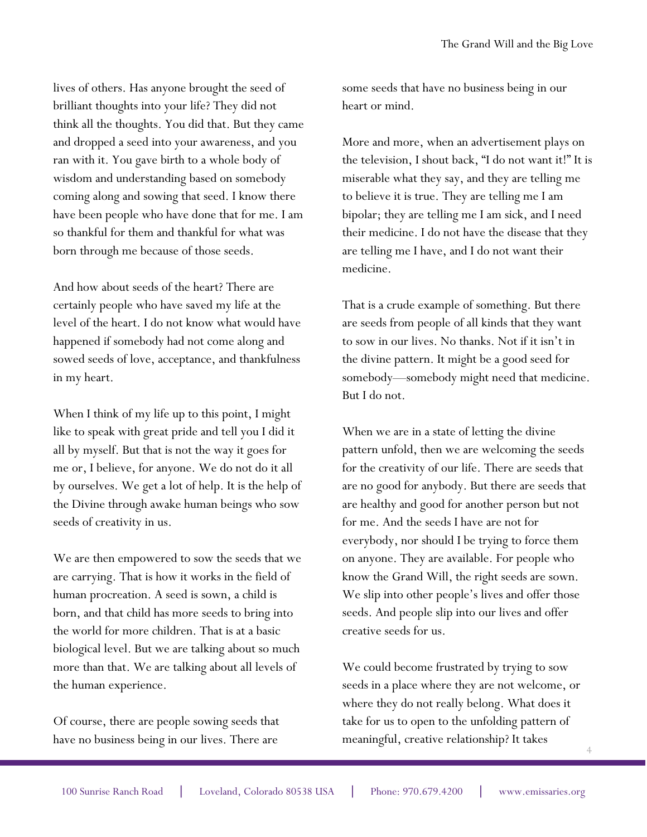lives of others. Has anyone brought the seed of brilliant thoughts into your life? They did not think all the thoughts. You did that. But they came and dropped a seed into your awareness, and you ran with it. You gave birth to a whole body of wisdom and understanding based on somebody coming along and sowing that seed. I know there have been people who have done that for me. I am so thankful for them and thankful for what was born through me because of those seeds.

And how about seeds of the heart? There are certainly people who have saved my life at the level of the heart. I do not know what would have happened if somebody had not come along and sowed seeds of love, acceptance, and thankfulness in my heart.

When I think of my life up to this point, I might like to speak with great pride and tell you I did it all by myself. But that is not the way it goes for me or, I believe, for anyone. We do not do it all by ourselves. We get a lot of help. It is the help of the Divine through awake human beings who sow seeds of creativity in us.

We are then empowered to sow the seeds that we are carrying. That is how it works in the field of human procreation. A seed is sown, a child is born, and that child has more seeds to bring into the world for more children. That is at a basic biological level. But we are talking about so much more than that. We are talking about all levels of the human experience.

Of course, there are people sowing seeds that have no business being in our lives. There are

some seeds that have no business being in our heart or mind.

More and more, when an advertisement plays on the television, I shout back, "I do not want it!" It is miserable what they say, and they are telling me to believe it is true. They are telling me I am bipolar; they are telling me I am sick, and I need their medicine. I do not have the disease that they are telling me I have, and I do not want their medicine.

That is a crude example of something. But there are seeds from people of all kinds that they want to sow in our lives. No thanks. Not if it isn't in the divine pattern. It might be a good seed for somebody—somebody might need that medicine. But I do not.

When we are in a state of letting the divine pattern unfold, then we are welcoming the seeds for the creativity of our life. There are seeds that are no good for anybody. But there are seeds that are healthy and good for another person but not for me. And the seeds I have are not for everybody, nor should I be trying to force them on anyone. They are available. For people who know the Grand Will, the right seeds are sown. We slip into other people's lives and offer those seeds. And people slip into our lives and offer creative seeds for us.

We could become frustrated by trying to sow seeds in a place where they are not welcome, or where they do not really belong. What does it take for us to open to the unfolding pattern of meaningful, creative relationship? It takes

4